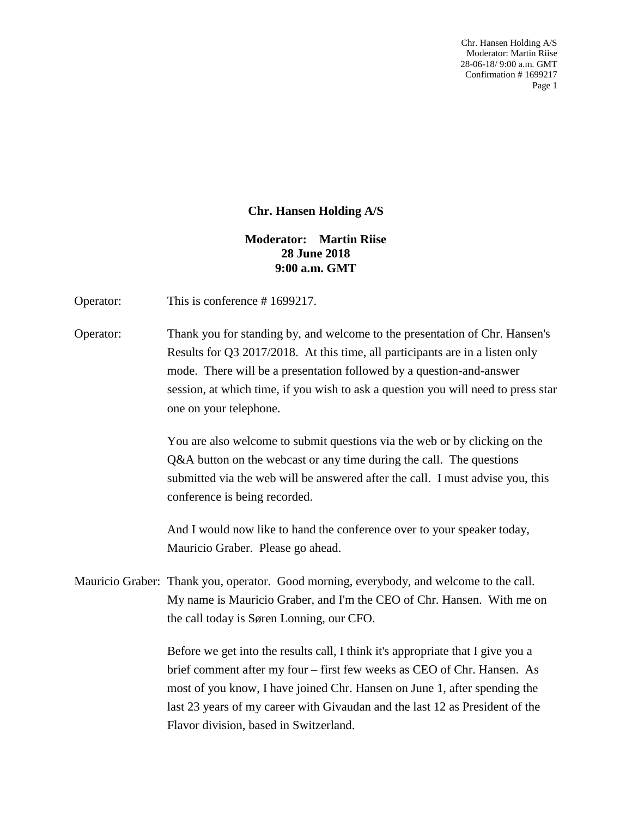Chr. Hansen Holding A/S Moderator: Martin Riise 28-06-18/ 9:00 a.m. GMT Confirmation # 1699217 Page 1

## **Chr. Hansen Holding A/S**

## **Moderator: Martin Riise 28 June 2018 9:00 a.m. GMT**

Operator: This is conference #1699217.

Operator: Thank you for standing by, and welcome to the presentation of Chr. Hansen's Results for Q3 2017/2018. At this time, all participants are in a listen only mode. There will be a presentation followed by a question-and-answer session, at which time, if you wish to ask a question you will need to press star one on your telephone.

> You are also welcome to submit questions via the web or by clicking on the Q&A button on the webcast or any time during the call. The questions submitted via the web will be answered after the call. I must advise you, this conference is being recorded.

And I would now like to hand the conference over to your speaker today, Mauricio Graber. Please go ahead.

Mauricio Graber: Thank you, operator. Good morning, everybody, and welcome to the call. My name is Mauricio Graber, and I'm the CEO of Chr. Hansen. With me on the call today is Søren Lonning, our CFO.

> Before we get into the results call, I think it's appropriate that I give you a brief comment after my four – first few weeks as CEO of Chr. Hansen. As most of you know, I have joined Chr. Hansen on June 1, after spending the last 23 years of my career with Givaudan and the last 12 as President of the Flavor division, based in Switzerland.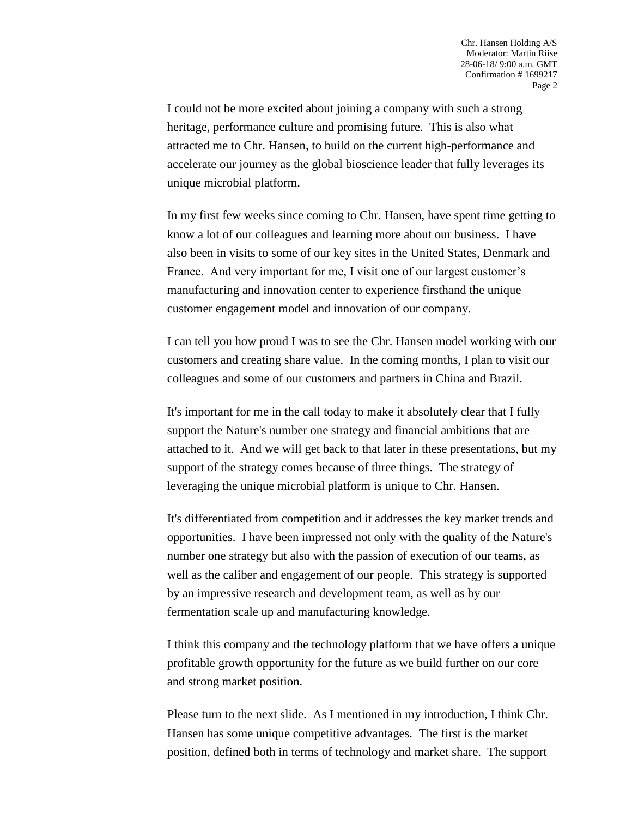I could not be more excited about joining a company with such a strong heritage, performance culture and promising future. This is also what attracted me to Chr. Hansen, to build on the current high-performance and accelerate our journey as the global bioscience leader that fully leverages its unique microbial platform.

In my first few weeks since coming to Chr. Hansen, have spent time getting to know a lot of our colleagues and learning more about our business. I have also been in visits to some of our key sites in the United States, Denmark and France. And very important for me, I visit one of our largest customer's manufacturing and innovation center to experience firsthand the unique customer engagement model and innovation of our company.

I can tell you how proud I was to see the Chr. Hansen model working with our customers and creating share value. In the coming months, I plan to visit our colleagues and some of our customers and partners in China and Brazil.

It's important for me in the call today to make it absolutely clear that I fully support the Nature's number one strategy and financial ambitions that are attached to it. And we will get back to that later in these presentations, but my support of the strategy comes because of three things. The strategy of leveraging the unique microbial platform is unique to Chr. Hansen.

It's differentiated from competition and it addresses the key market trends and opportunities. I have been impressed not only with the quality of the Nature's number one strategy but also with the passion of execution of our teams, as well as the caliber and engagement of our people. This strategy is supported by an impressive research and development team, as well as by our fermentation scale up and manufacturing knowledge.

I think this company and the technology platform that we have offers a unique profitable growth opportunity for the future as we build further on our core and strong market position.

Please turn to the next slide. As I mentioned in my introduction, I think Chr. Hansen has some unique competitive advantages. The first is the market position, defined both in terms of technology and market share. The support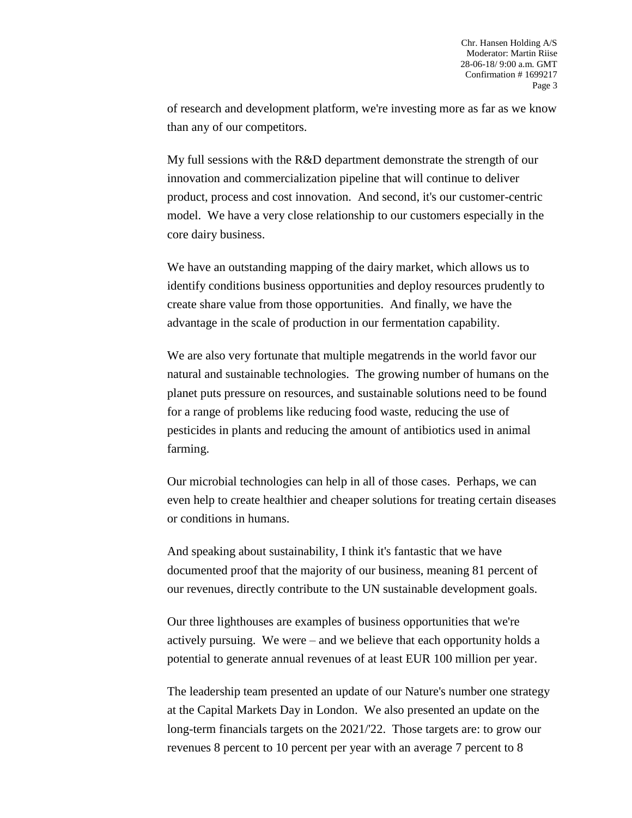of research and development platform, we're investing more as far as we know than any of our competitors.

My full sessions with the R&D department demonstrate the strength of our innovation and commercialization pipeline that will continue to deliver product, process and cost innovation. And second, it's our customer-centric model. We have a very close relationship to our customers especially in the core dairy business.

We have an outstanding mapping of the dairy market, which allows us to identify conditions business opportunities and deploy resources prudently to create share value from those opportunities. And finally, we have the advantage in the scale of production in our fermentation capability.

We are also very fortunate that multiple megatrends in the world favor our natural and sustainable technologies. The growing number of humans on the planet puts pressure on resources, and sustainable solutions need to be found for a range of problems like reducing food waste, reducing the use of pesticides in plants and reducing the amount of antibiotics used in animal farming.

Our microbial technologies can help in all of those cases. Perhaps, we can even help to create healthier and cheaper solutions for treating certain diseases or conditions in humans.

And speaking about sustainability, I think it's fantastic that we have documented proof that the majority of our business, meaning 81 percent of our revenues, directly contribute to the UN sustainable development goals.

Our three lighthouses are examples of business opportunities that we're actively pursuing. We were – and we believe that each opportunity holds a potential to generate annual revenues of at least EUR 100 million per year.

The leadership team presented an update of our Nature's number one strategy at the Capital Markets Day in London. We also presented an update on the long-term financials targets on the 2021/'22. Those targets are: to grow our revenues 8 percent to 10 percent per year with an average 7 percent to 8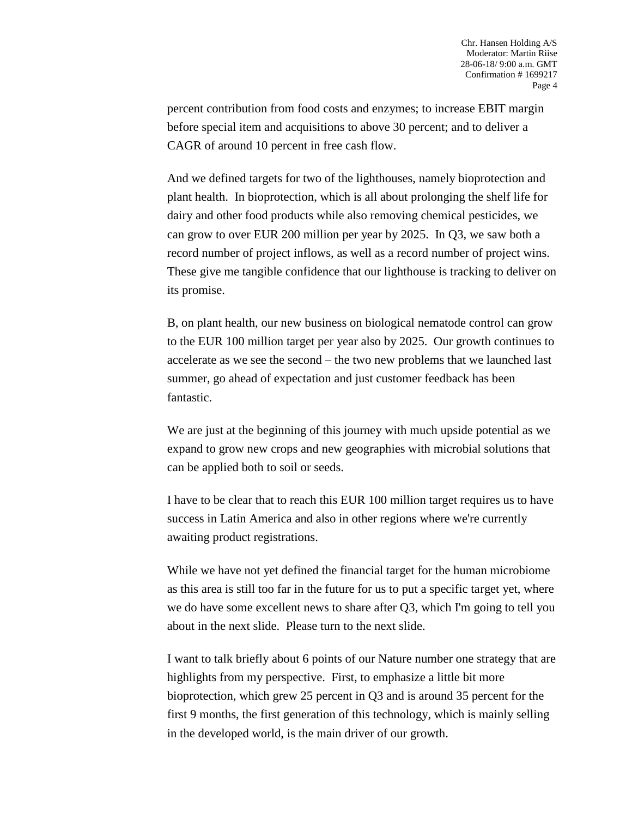percent contribution from food costs and enzymes; to increase EBIT margin before special item and acquisitions to above 30 percent; and to deliver a CAGR of around 10 percent in free cash flow.

And we defined targets for two of the lighthouses, namely bioprotection and plant health. In bioprotection, which is all about prolonging the shelf life for dairy and other food products while also removing chemical pesticides, we can grow to over EUR 200 million per year by 2025. In Q3, we saw both a record number of project inflows, as well as a record number of project wins. These give me tangible confidence that our lighthouse is tracking to deliver on its promise.

B, on plant health, our new business on biological nematode control can grow to the EUR 100 million target per year also by 2025. Our growth continues to accelerate as we see the second – the two new problems that we launched last summer, go ahead of expectation and just customer feedback has been fantastic.

We are just at the beginning of this journey with much upside potential as we expand to grow new crops and new geographies with microbial solutions that can be applied both to soil or seeds.

I have to be clear that to reach this EUR 100 million target requires us to have success in Latin America and also in other regions where we're currently awaiting product registrations.

While we have not yet defined the financial target for the human microbiome as this area is still too far in the future for us to put a specific target yet, where we do have some excellent news to share after Q3, which I'm going to tell you about in the next slide. Please turn to the next slide.

I want to talk briefly about 6 points of our Nature number one strategy that are highlights from my perspective. First, to emphasize a little bit more bioprotection, which grew 25 percent in Q3 and is around 35 percent for the first 9 months, the first generation of this technology, which is mainly selling in the developed world, is the main driver of our growth.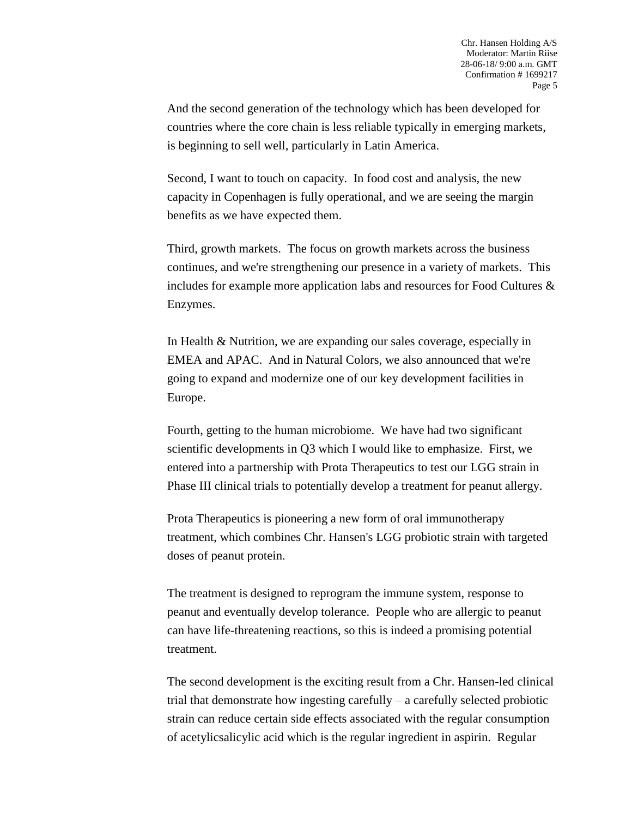And the second generation of the technology which has been developed for countries where the core chain is less reliable typically in emerging markets, is beginning to sell well, particularly in Latin America.

Second, I want to touch on capacity. In food cost and analysis, the new capacity in Copenhagen is fully operational, and we are seeing the margin benefits as we have expected them.

Third, growth markets. The focus on growth markets across the business continues, and we're strengthening our presence in a variety of markets. This includes for example more application labs and resources for Food Cultures & Enzymes.

In Health & Nutrition, we are expanding our sales coverage, especially in EMEA and APAC. And in Natural Colors, we also announced that we're going to expand and modernize one of our key development facilities in Europe.

Fourth, getting to the human microbiome. We have had two significant scientific developments in Q3 which I would like to emphasize. First, we entered into a partnership with Prota Therapeutics to test our LGG strain in Phase III clinical trials to potentially develop a treatment for peanut allergy.

Prota Therapeutics is pioneering a new form of oral immunotherapy treatment, which combines Chr. Hansen's LGG probiotic strain with targeted doses of peanut protein.

The treatment is designed to reprogram the immune system, response to peanut and eventually develop tolerance. People who are allergic to peanut can have life-threatening reactions, so this is indeed a promising potential treatment.

The second development is the exciting result from a Chr. Hansen-led clinical trial that demonstrate how ingesting carefully – a carefully selected probiotic strain can reduce certain side effects associated with the regular consumption of acetylicsalicylic acid which is the regular ingredient in aspirin. Regular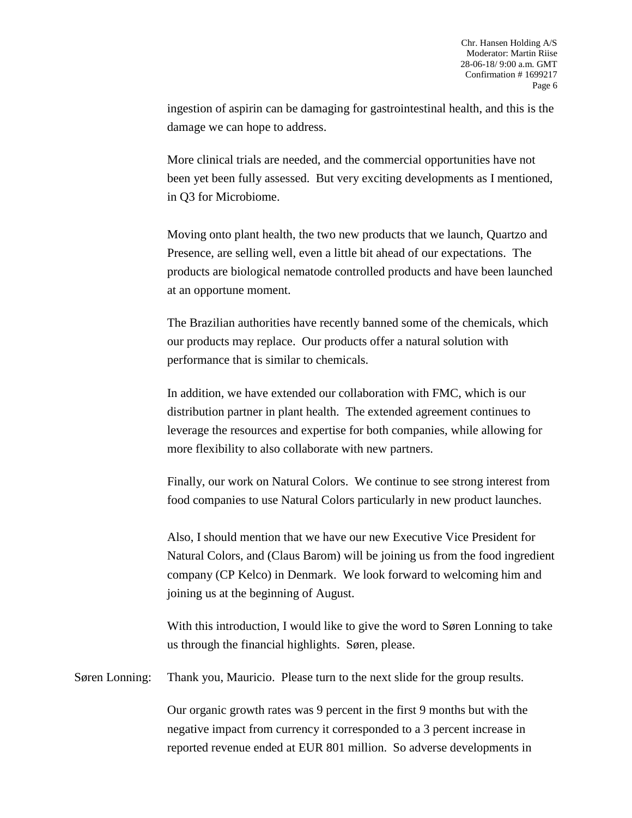ingestion of aspirin can be damaging for gastrointestinal health, and this is the damage we can hope to address.

More clinical trials are needed, and the commercial opportunities have not been yet been fully assessed. But very exciting developments as I mentioned, in Q3 for Microbiome.

Moving onto plant health, the two new products that we launch, Quartzo and Presence, are selling well, even a little bit ahead of our expectations. The products are biological nematode controlled products and have been launched at an opportune moment.

The Brazilian authorities have recently banned some of the chemicals, which our products may replace. Our products offer a natural solution with performance that is similar to chemicals.

In addition, we have extended our collaboration with FMC, which is our distribution partner in plant health. The extended agreement continues to leverage the resources and expertise for both companies, while allowing for more flexibility to also collaborate with new partners.

Finally, our work on Natural Colors. We continue to see strong interest from food companies to use Natural Colors particularly in new product launches.

Also, I should mention that we have our new Executive Vice President for Natural Colors, and (Claus Barom) will be joining us from the food ingredient company (CP Kelco) in Denmark. We look forward to welcoming him and joining us at the beginning of August.

With this introduction, I would like to give the word to Søren Lonning to take us through the financial highlights. Søren, please.

Søren Lonning: Thank you, Mauricio. Please turn to the next slide for the group results.

Our organic growth rates was 9 percent in the first 9 months but with the negative impact from currency it corresponded to a 3 percent increase in reported revenue ended at EUR 801 million. So adverse developments in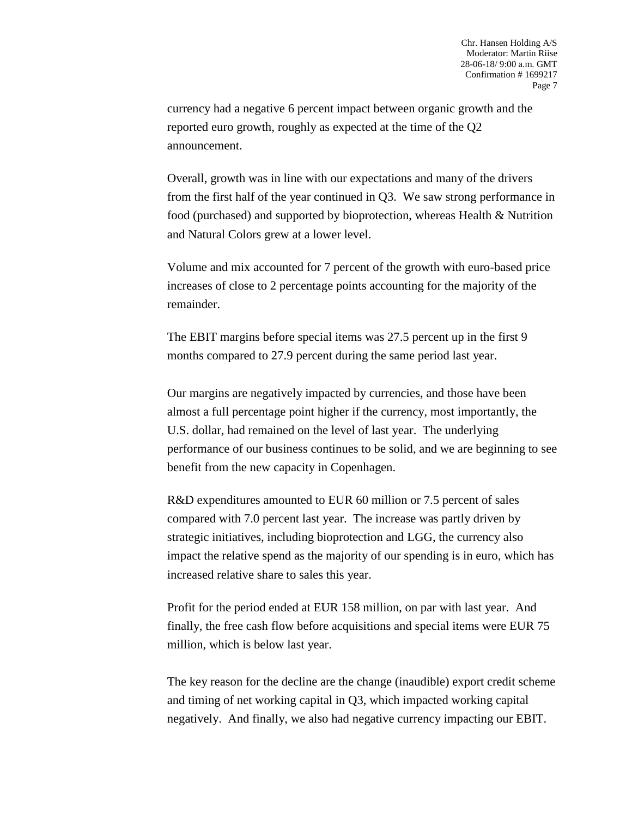currency had a negative 6 percent impact between organic growth and the reported euro growth, roughly as expected at the time of the Q2 announcement.

Overall, growth was in line with our expectations and many of the drivers from the first half of the year continued in Q3. We saw strong performance in food (purchased) and supported by bioprotection, whereas Health & Nutrition and Natural Colors grew at a lower level.

Volume and mix accounted for 7 percent of the growth with euro-based price increases of close to 2 percentage points accounting for the majority of the remainder.

The EBIT margins before special items was 27.5 percent up in the first 9 months compared to 27.9 percent during the same period last year.

Our margins are negatively impacted by currencies, and those have been almost a full percentage point higher if the currency, most importantly, the U.S. dollar, had remained on the level of last year. The underlying performance of our business continues to be solid, and we are beginning to see benefit from the new capacity in Copenhagen.

R&D expenditures amounted to EUR 60 million or 7.5 percent of sales compared with 7.0 percent last year. The increase was partly driven by strategic initiatives, including bioprotection and LGG, the currency also impact the relative spend as the majority of our spending is in euro, which has increased relative share to sales this year.

Profit for the period ended at EUR 158 million, on par with last year. And finally, the free cash flow before acquisitions and special items were EUR 75 million, which is below last year.

The key reason for the decline are the change (inaudible) export credit scheme and timing of net working capital in Q3, which impacted working capital negatively. And finally, we also had negative currency impacting our EBIT.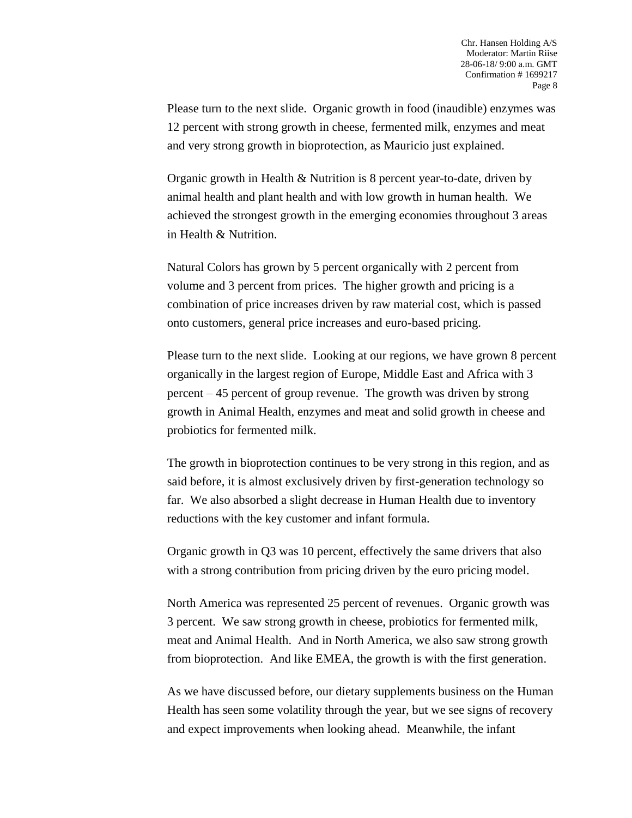Please turn to the next slide. Organic growth in food (inaudible) enzymes was 12 percent with strong growth in cheese, fermented milk, enzymes and meat and very strong growth in bioprotection, as Mauricio just explained.

Organic growth in Health & Nutrition is 8 percent year-to-date, driven by animal health and plant health and with low growth in human health. We achieved the strongest growth in the emerging economies throughout 3 areas in Health & Nutrition.

Natural Colors has grown by 5 percent organically with 2 percent from volume and 3 percent from prices. The higher growth and pricing is a combination of price increases driven by raw material cost, which is passed onto customers, general price increases and euro-based pricing.

Please turn to the next slide. Looking at our regions, we have grown 8 percent organically in the largest region of Europe, Middle East and Africa with 3 percent – 45 percent of group revenue. The growth was driven by strong growth in Animal Health, enzymes and meat and solid growth in cheese and probiotics for fermented milk.

The growth in bioprotection continues to be very strong in this region, and as said before, it is almost exclusively driven by first-generation technology so far. We also absorbed a slight decrease in Human Health due to inventory reductions with the key customer and infant formula.

Organic growth in Q3 was 10 percent, effectively the same drivers that also with a strong contribution from pricing driven by the euro pricing model.

North America was represented 25 percent of revenues. Organic growth was 3 percent. We saw strong growth in cheese, probiotics for fermented milk, meat and Animal Health. And in North America, we also saw strong growth from bioprotection. And like EMEA, the growth is with the first generation.

As we have discussed before, our dietary supplements business on the Human Health has seen some volatility through the year, but we see signs of recovery and expect improvements when looking ahead. Meanwhile, the infant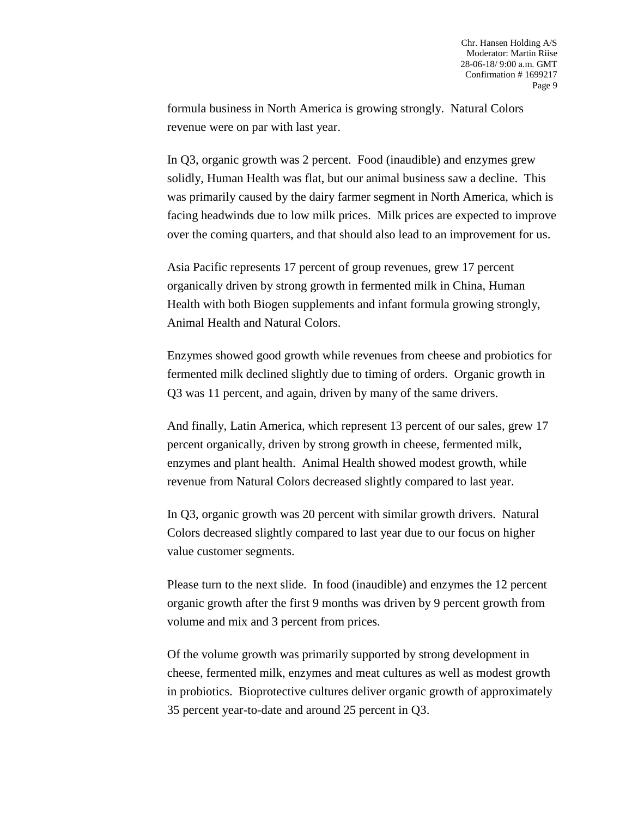formula business in North America is growing strongly. Natural Colors revenue were on par with last year.

In Q3, organic growth was 2 percent. Food (inaudible) and enzymes grew solidly, Human Health was flat, but our animal business saw a decline. This was primarily caused by the dairy farmer segment in North America, which is facing headwinds due to low milk prices. Milk prices are expected to improve over the coming quarters, and that should also lead to an improvement for us.

Asia Pacific represents 17 percent of group revenues, grew 17 percent organically driven by strong growth in fermented milk in China, Human Health with both Biogen supplements and infant formula growing strongly, Animal Health and Natural Colors.

Enzymes showed good growth while revenues from cheese and probiotics for fermented milk declined slightly due to timing of orders. Organic growth in Q3 was 11 percent, and again, driven by many of the same drivers.

And finally, Latin America, which represent 13 percent of our sales, grew 17 percent organically, driven by strong growth in cheese, fermented milk, enzymes and plant health. Animal Health showed modest growth, while revenue from Natural Colors decreased slightly compared to last year.

In Q3, organic growth was 20 percent with similar growth drivers. Natural Colors decreased slightly compared to last year due to our focus on higher value customer segments.

Please turn to the next slide. In food (inaudible) and enzymes the 12 percent organic growth after the first 9 months was driven by 9 percent growth from volume and mix and 3 percent from prices.

Of the volume growth was primarily supported by strong development in cheese, fermented milk, enzymes and meat cultures as well as modest growth in probiotics. Bioprotective cultures deliver organic growth of approximately 35 percent year-to-date and around 25 percent in Q3.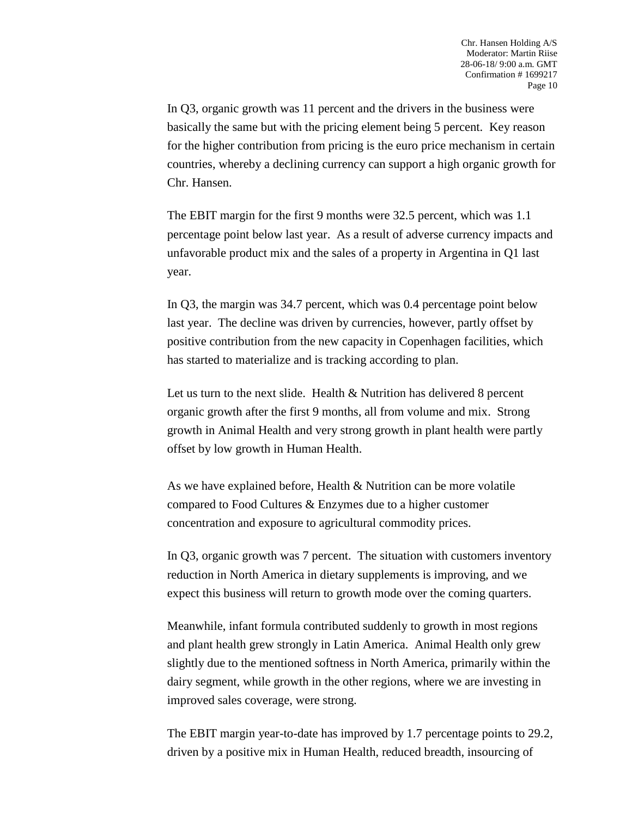In Q3, organic growth was 11 percent and the drivers in the business were basically the same but with the pricing element being 5 percent. Key reason for the higher contribution from pricing is the euro price mechanism in certain countries, whereby a declining currency can support a high organic growth for Chr. Hansen.

The EBIT margin for the first 9 months were 32.5 percent, which was 1.1 percentage point below last year. As a result of adverse currency impacts and unfavorable product mix and the sales of a property in Argentina in Q1 last year.

In Q3, the margin was 34.7 percent, which was 0.4 percentage point below last year. The decline was driven by currencies, however, partly offset by positive contribution from the new capacity in Copenhagen facilities, which has started to materialize and is tracking according to plan.

Let us turn to the next slide. Health & Nutrition has delivered 8 percent organic growth after the first 9 months, all from volume and mix. Strong growth in Animal Health and very strong growth in plant health were partly offset by low growth in Human Health.

As we have explained before, Health & Nutrition can be more volatile compared to Food Cultures & Enzymes due to a higher customer concentration and exposure to agricultural commodity prices.

In Q3, organic growth was 7 percent. The situation with customers inventory reduction in North America in dietary supplements is improving, and we expect this business will return to growth mode over the coming quarters.

Meanwhile, infant formula contributed suddenly to growth in most regions and plant health grew strongly in Latin America. Animal Health only grew slightly due to the mentioned softness in North America, primarily within the dairy segment, while growth in the other regions, where we are investing in improved sales coverage, were strong.

The EBIT margin year-to-date has improved by 1.7 percentage points to 29.2, driven by a positive mix in Human Health, reduced breadth, insourcing of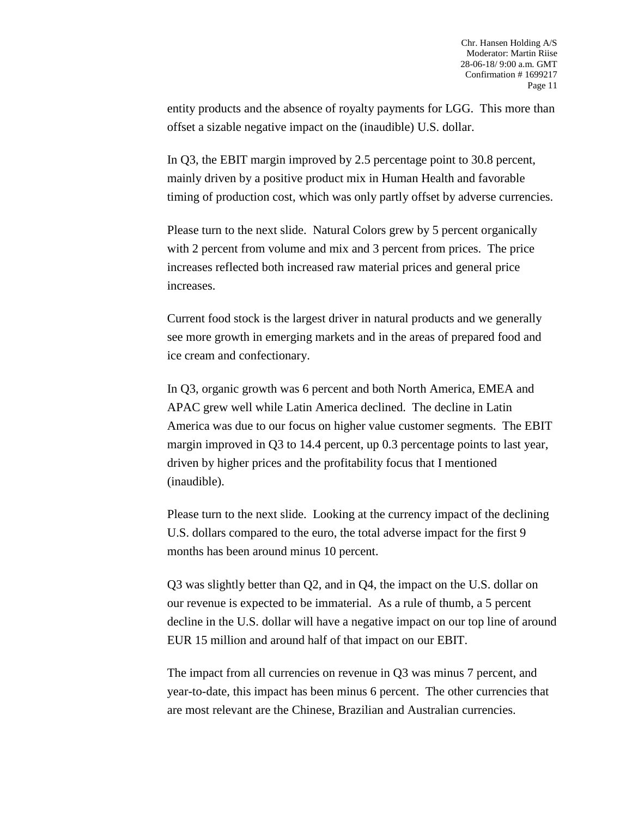entity products and the absence of royalty payments for LGG. This more than offset a sizable negative impact on the (inaudible) U.S. dollar.

In Q3, the EBIT margin improved by 2.5 percentage point to 30.8 percent, mainly driven by a positive product mix in Human Health and favorable timing of production cost, which was only partly offset by adverse currencies.

Please turn to the next slide. Natural Colors grew by 5 percent organically with 2 percent from volume and mix and 3 percent from prices. The price increases reflected both increased raw material prices and general price increases.

Current food stock is the largest driver in natural products and we generally see more growth in emerging markets and in the areas of prepared food and ice cream and confectionary.

In Q3, organic growth was 6 percent and both North America, EMEA and APAC grew well while Latin America declined. The decline in Latin America was due to our focus on higher value customer segments. The EBIT margin improved in Q3 to 14.4 percent, up 0.3 percentage points to last year, driven by higher prices and the profitability focus that I mentioned (inaudible).

Please turn to the next slide. Looking at the currency impact of the declining U.S. dollars compared to the euro, the total adverse impact for the first 9 months has been around minus 10 percent.

Q3 was slightly better than Q2, and in Q4, the impact on the U.S. dollar on our revenue is expected to be immaterial. As a rule of thumb, a 5 percent decline in the U.S. dollar will have a negative impact on our top line of around EUR 15 million and around half of that impact on our EBIT.

The impact from all currencies on revenue in Q3 was minus 7 percent, and year-to-date, this impact has been minus 6 percent. The other currencies that are most relevant are the Chinese, Brazilian and Australian currencies.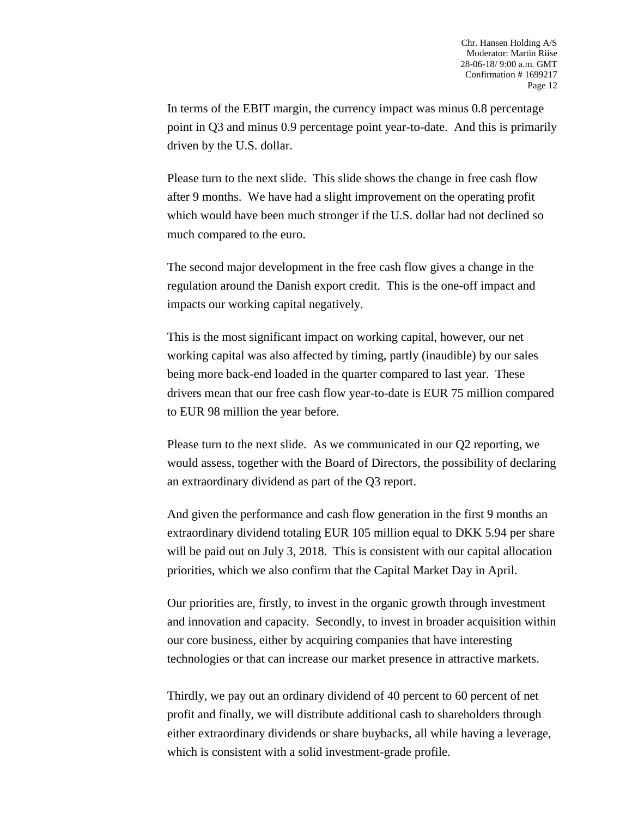In terms of the EBIT margin, the currency impact was minus 0.8 percentage point in Q3 and minus 0.9 percentage point year-to-date. And this is primarily driven by the U.S. dollar.

Please turn to the next slide. This slide shows the change in free cash flow after 9 months. We have had a slight improvement on the operating profit which would have been much stronger if the U.S. dollar had not declined so much compared to the euro.

The second major development in the free cash flow gives a change in the regulation around the Danish export credit. This is the one-off impact and impacts our working capital negatively.

This is the most significant impact on working capital, however, our net working capital was also affected by timing, partly (inaudible) by our sales being more back-end loaded in the quarter compared to last year. These drivers mean that our free cash flow year-to-date is EUR 75 million compared to EUR 98 million the year before.

Please turn to the next slide. As we communicated in our Q2 reporting, we would assess, together with the Board of Directors, the possibility of declaring an extraordinary dividend as part of the Q3 report.

And given the performance and cash flow generation in the first 9 months an extraordinary dividend totaling EUR 105 million equal to DKK 5.94 per share will be paid out on July 3, 2018. This is consistent with our capital allocation priorities, which we also confirm that the Capital Market Day in April.

Our priorities are, firstly, to invest in the organic growth through investment and innovation and capacity. Secondly, to invest in broader acquisition within our core business, either by acquiring companies that have interesting technologies or that can increase our market presence in attractive markets.

Thirdly, we pay out an ordinary dividend of 40 percent to 60 percent of net profit and finally, we will distribute additional cash to shareholders through either extraordinary dividends or share buybacks, all while having a leverage, which is consistent with a solid investment-grade profile.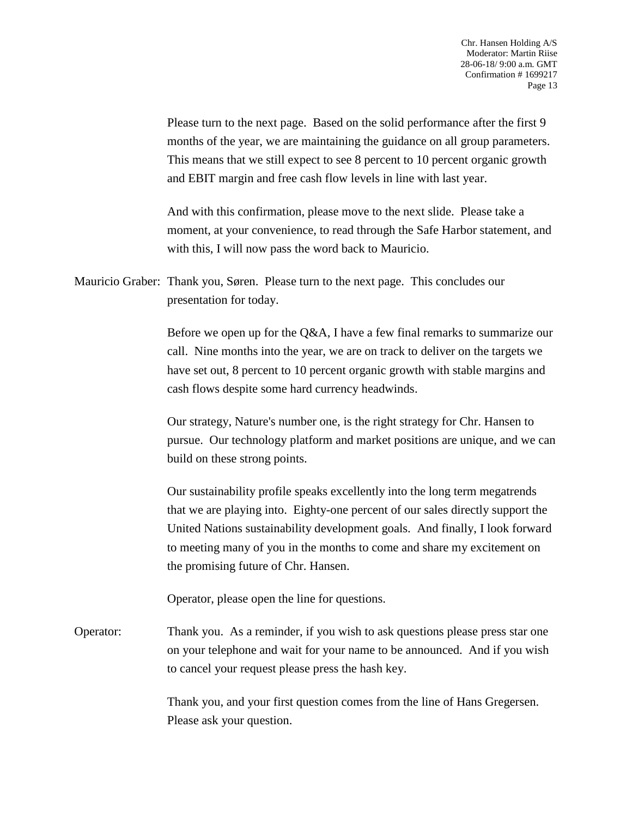Please turn to the next page. Based on the solid performance after the first 9 months of the year, we are maintaining the guidance on all group parameters. This means that we still expect to see 8 percent to 10 percent organic growth and EBIT margin and free cash flow levels in line with last year.

And with this confirmation, please move to the next slide. Please take a moment, at your convenience, to read through the Safe Harbor statement, and with this, I will now pass the word back to Mauricio.

Mauricio Graber: Thank you, Søren. Please turn to the next page. This concludes our presentation for today.

> Before we open up for the Q&A, I have a few final remarks to summarize our call. Nine months into the year, we are on track to deliver on the targets we have set out, 8 percent to 10 percent organic growth with stable margins and cash flows despite some hard currency headwinds.

> Our strategy, Nature's number one, is the right strategy for Chr. Hansen to pursue. Our technology platform and market positions are unique, and we can build on these strong points.

> Our sustainability profile speaks excellently into the long term megatrends that we are playing into. Eighty-one percent of our sales directly support the United Nations sustainability development goals. And finally, I look forward to meeting many of you in the months to come and share my excitement on the promising future of Chr. Hansen.

Operator, please open the line for questions.

Operator: Thank you. As a reminder, if you wish to ask questions please press star one on your telephone and wait for your name to be announced. And if you wish to cancel your request please press the hash key.

> Thank you, and your first question comes from the line of Hans Gregersen. Please ask your question.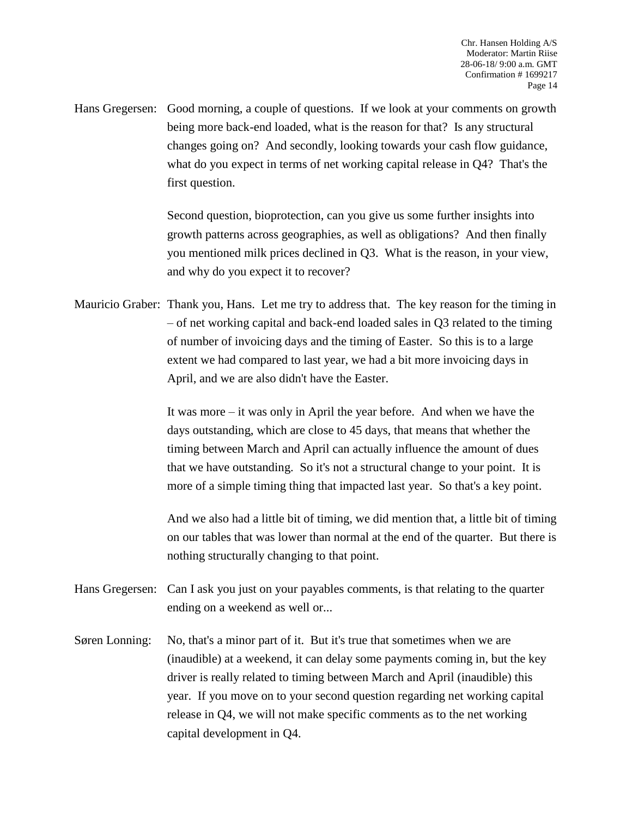Hans Gregersen: Good morning, a couple of questions. If we look at your comments on growth being more back-end loaded, what is the reason for that? Is any structural changes going on? And secondly, looking towards your cash flow guidance, what do you expect in terms of net working capital release in Q4? That's the first question.

> Second question, bioprotection, can you give us some further insights into growth patterns across geographies, as well as obligations? And then finally you mentioned milk prices declined in Q3. What is the reason, in your view, and why do you expect it to recover?

Mauricio Graber: Thank you, Hans. Let me try to address that. The key reason for the timing in – of net working capital and back-end loaded sales in Q3 related to the timing of number of invoicing days and the timing of Easter. So this is to a large extent we had compared to last year, we had a bit more invoicing days in April, and we are also didn't have the Easter.

> It was more – it was only in April the year before. And when we have the days outstanding, which are close to 45 days, that means that whether the timing between March and April can actually influence the amount of dues that we have outstanding. So it's not a structural change to your point. It is more of a simple timing thing that impacted last year. So that's a key point.

And we also had a little bit of timing, we did mention that, a little bit of timing on our tables that was lower than normal at the end of the quarter. But there is nothing structurally changing to that point.

Hans Gregersen: Can I ask you just on your payables comments, is that relating to the quarter ending on a weekend as well or...

Søren Lonning: No, that's a minor part of it. But it's true that sometimes when we are (inaudible) at a weekend, it can delay some payments coming in, but the key driver is really related to timing between March and April (inaudible) this year. If you move on to your second question regarding net working capital release in Q4, we will not make specific comments as to the net working capital development in Q4.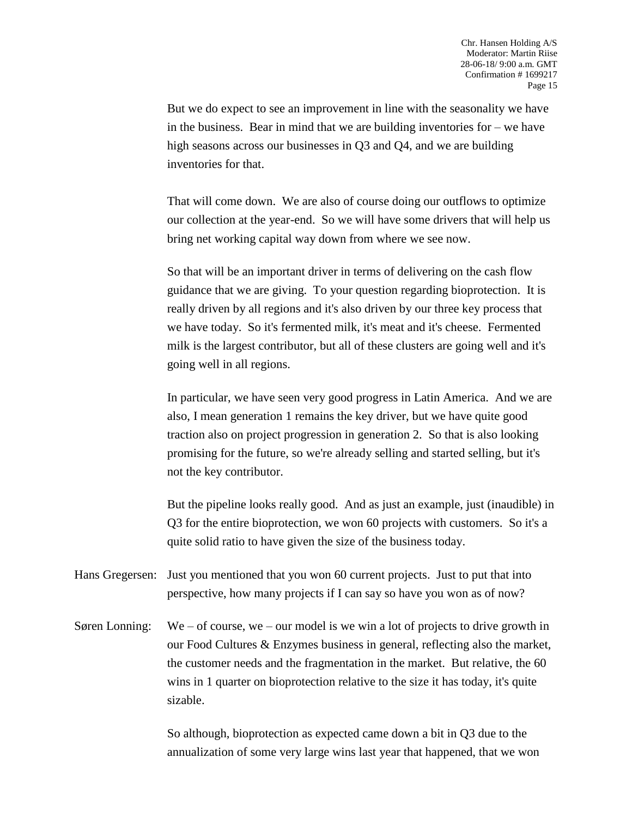But we do expect to see an improvement in line with the seasonality we have in the business. Bear in mind that we are building inventories for – we have high seasons across our businesses in Q3 and Q4, and we are building inventories for that.

That will come down. We are also of course doing our outflows to optimize our collection at the year-end. So we will have some drivers that will help us bring net working capital way down from where we see now.

So that will be an important driver in terms of delivering on the cash flow guidance that we are giving. To your question regarding bioprotection. It is really driven by all regions and it's also driven by our three key process that we have today. So it's fermented milk, it's meat and it's cheese. Fermented milk is the largest contributor, but all of these clusters are going well and it's going well in all regions.

In particular, we have seen very good progress in Latin America. And we are also, I mean generation 1 remains the key driver, but we have quite good traction also on project progression in generation 2. So that is also looking promising for the future, so we're already selling and started selling, but it's not the key contributor.

But the pipeline looks really good. And as just an example, just (inaudible) in Q3 for the entire bioprotection, we won 60 projects with customers. So it's a quite solid ratio to have given the size of the business today.

Hans Gregersen: Just you mentioned that you won 60 current projects. Just to put that into perspective, how many projects if I can say so have you won as of now?

Søren Lonning: We – of course, we – our model is we win a lot of projects to drive growth in our Food Cultures & Enzymes business in general, reflecting also the market, the customer needs and the fragmentation in the market. But relative, the 60 wins in 1 quarter on bioprotection relative to the size it has today, it's quite sizable.

> So although, bioprotection as expected came down a bit in Q3 due to the annualization of some very large wins last year that happened, that we won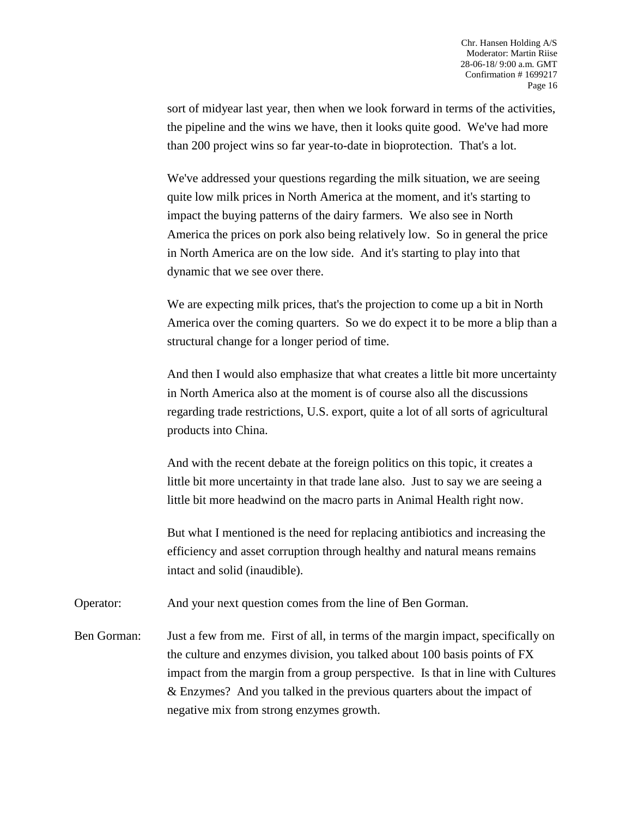sort of midyear last year, then when we look forward in terms of the activities, the pipeline and the wins we have, then it looks quite good. We've had more than 200 project wins so far year-to-date in bioprotection. That's a lot.

We've addressed your questions regarding the milk situation, we are seeing quite low milk prices in North America at the moment, and it's starting to impact the buying patterns of the dairy farmers. We also see in North America the prices on pork also being relatively low. So in general the price in North America are on the low side. And it's starting to play into that dynamic that we see over there.

We are expecting milk prices, that's the projection to come up a bit in North America over the coming quarters. So we do expect it to be more a blip than a structural change for a longer period of time.

And then I would also emphasize that what creates a little bit more uncertainty in North America also at the moment is of course also all the discussions regarding trade restrictions, U.S. export, quite a lot of all sorts of agricultural products into China.

And with the recent debate at the foreign politics on this topic, it creates a little bit more uncertainty in that trade lane also. Just to say we are seeing a little bit more headwind on the macro parts in Animal Health right now.

But what I mentioned is the need for replacing antibiotics and increasing the efficiency and asset corruption through healthy and natural means remains intact and solid (inaudible).

Operator: And your next question comes from the line of Ben Gorman.

Ben Gorman: Just a few from me. First of all, in terms of the margin impact, specifically on the culture and enzymes division, you talked about 100 basis points of FX impact from the margin from a group perspective. Is that in line with Cultures & Enzymes? And you talked in the previous quarters about the impact of negative mix from strong enzymes growth.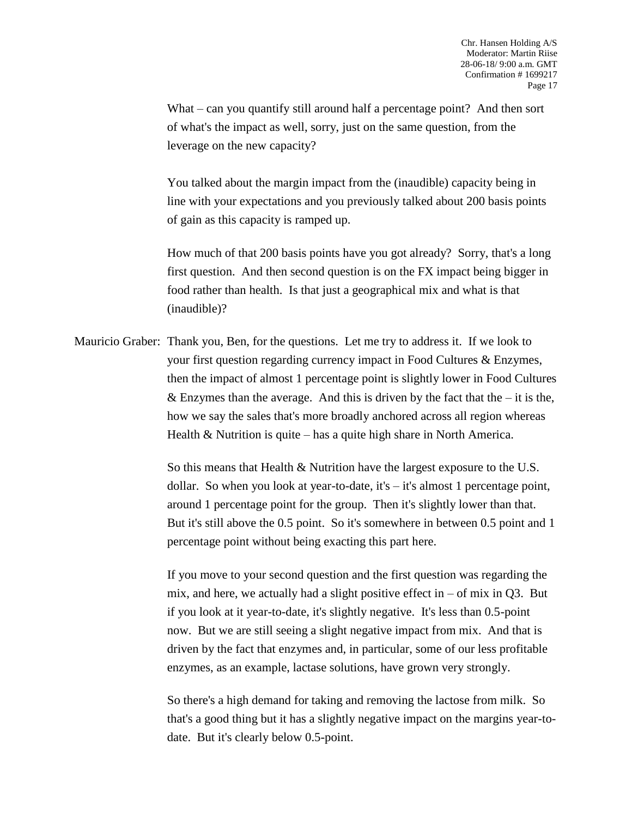What – can you quantify still around half a percentage point? And then sort of what's the impact as well, sorry, just on the same question, from the leverage on the new capacity?

You talked about the margin impact from the (inaudible) capacity being in line with your expectations and you previously talked about 200 basis points of gain as this capacity is ramped up.

How much of that 200 basis points have you got already? Sorry, that's a long first question. And then second question is on the FX impact being bigger in food rather than health. Is that just a geographical mix and what is that (inaudible)?

Mauricio Graber: Thank you, Ben, for the questions. Let me try to address it. If we look to your first question regarding currency impact in Food Cultures & Enzymes, then the impact of almost 1 percentage point is slightly lower in Food Cultures & Enzymes than the average. And this is driven by the fact that the  $-$  it is the, how we say the sales that's more broadly anchored across all region whereas Health & Nutrition is quite – has a quite high share in North America.

> So this means that Health & Nutrition have the largest exposure to the U.S. dollar. So when you look at year-to-date, it's – it's almost 1 percentage point, around 1 percentage point for the group. Then it's slightly lower than that. But it's still above the 0.5 point. So it's somewhere in between 0.5 point and 1 percentage point without being exacting this part here.

If you move to your second question and the first question was regarding the mix, and here, we actually had a slight positive effect in  $-$  of mix in Q3. But if you look at it year-to-date, it's slightly negative. It's less than 0.5-point now. But we are still seeing a slight negative impact from mix. And that is driven by the fact that enzymes and, in particular, some of our less profitable enzymes, as an example, lactase solutions, have grown very strongly.

So there's a high demand for taking and removing the lactose from milk. So that's a good thing but it has a slightly negative impact on the margins year-todate. But it's clearly below 0.5-point.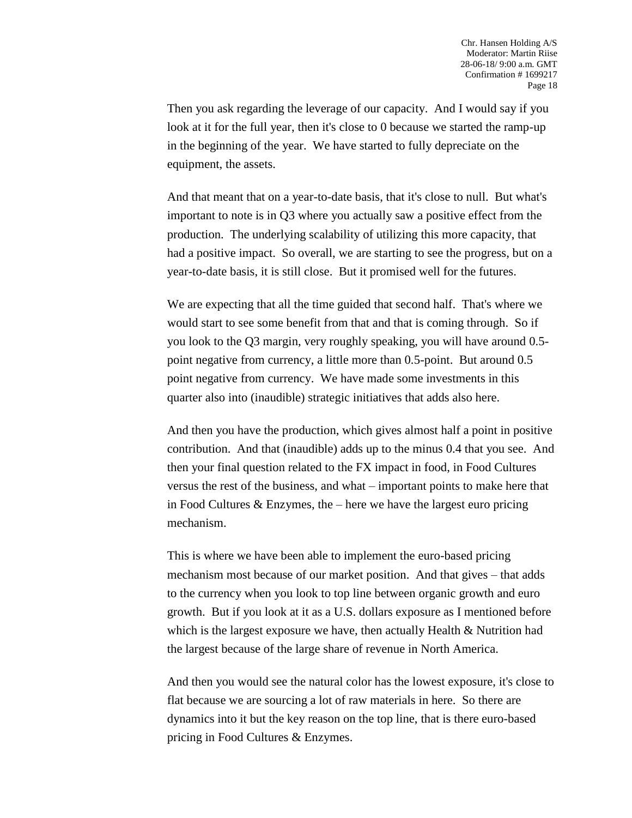Then you ask regarding the leverage of our capacity. And I would say if you look at it for the full year, then it's close to 0 because we started the ramp-up in the beginning of the year. We have started to fully depreciate on the equipment, the assets.

And that meant that on a year-to-date basis, that it's close to null. But what's important to note is in Q3 where you actually saw a positive effect from the production. The underlying scalability of utilizing this more capacity, that had a positive impact. So overall, we are starting to see the progress, but on a year-to-date basis, it is still close. But it promised well for the futures.

We are expecting that all the time guided that second half. That's where we would start to see some benefit from that and that is coming through. So if you look to the Q3 margin, very roughly speaking, you will have around 0.5 point negative from currency, a little more than 0.5-point. But around 0.5 point negative from currency. We have made some investments in this quarter also into (inaudible) strategic initiatives that adds also here.

And then you have the production, which gives almost half a point in positive contribution. And that (inaudible) adds up to the minus 0.4 that you see. And then your final question related to the FX impact in food, in Food Cultures versus the rest of the business, and what – important points to make here that in Food Cultures & Enzymes, the – here we have the largest euro pricing mechanism.

This is where we have been able to implement the euro-based pricing mechanism most because of our market position. And that gives – that adds to the currency when you look to top line between organic growth and euro growth. But if you look at it as a U.S. dollars exposure as I mentioned before which is the largest exposure we have, then actually Health & Nutrition had the largest because of the large share of revenue in North America.

And then you would see the natural color has the lowest exposure, it's close to flat because we are sourcing a lot of raw materials in here. So there are dynamics into it but the key reason on the top line, that is there euro-based pricing in Food Cultures & Enzymes.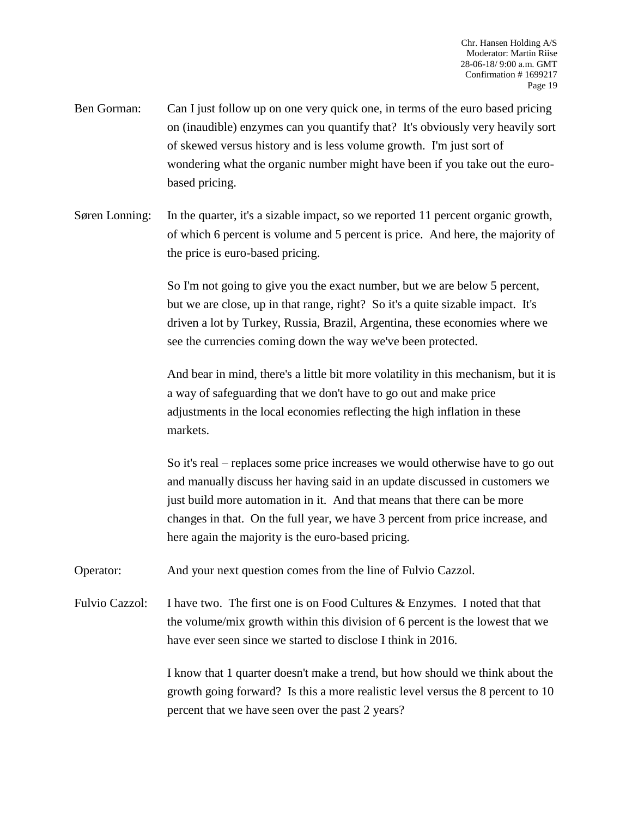- Ben Gorman: Can I just follow up on one very quick one, in terms of the euro based pricing on (inaudible) enzymes can you quantify that? It's obviously very heavily sort of skewed versus history and is less volume growth. I'm just sort of wondering what the organic number might have been if you take out the eurobased pricing.
- Søren Lonning: In the quarter, it's a sizable impact, so we reported 11 percent organic growth, of which 6 percent is volume and 5 percent is price. And here, the majority of the price is euro-based pricing.

So I'm not going to give you the exact number, but we are below 5 percent, but we are close, up in that range, right? So it's a quite sizable impact. It's driven a lot by Turkey, Russia, Brazil, Argentina, these economies where we see the currencies coming down the way we've been protected.

And bear in mind, there's a little bit more volatility in this mechanism, but it is a way of safeguarding that we don't have to go out and make price adjustments in the local economies reflecting the high inflation in these markets.

So it's real – replaces some price increases we would otherwise have to go out and manually discuss her having said in an update discussed in customers we just build more automation in it. And that means that there can be more changes in that. On the full year, we have 3 percent from price increase, and here again the majority is the euro-based pricing.

Operator: And your next question comes from the line of Fulvio Cazzol.

Fulvio Cazzol: I have two. The first one is on Food Cultures & Enzymes. I noted that that the volume/mix growth within this division of 6 percent is the lowest that we have ever seen since we started to disclose I think in 2016.

> I know that 1 quarter doesn't make a trend, but how should we think about the growth going forward? Is this a more realistic level versus the 8 percent to 10 percent that we have seen over the past 2 years?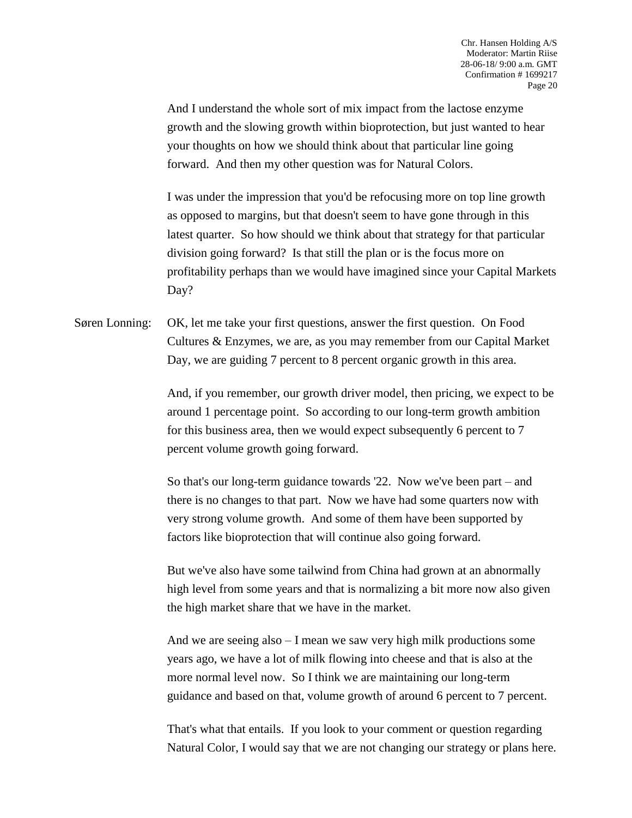And I understand the whole sort of mix impact from the lactose enzyme growth and the slowing growth within bioprotection, but just wanted to hear your thoughts on how we should think about that particular line going forward. And then my other question was for Natural Colors.

I was under the impression that you'd be refocusing more on top line growth as opposed to margins, but that doesn't seem to have gone through in this latest quarter. So how should we think about that strategy for that particular division going forward? Is that still the plan or is the focus more on profitability perhaps than we would have imagined since your Capital Markets Day?

Søren Lonning: OK, let me take your first questions, answer the first question. On Food Cultures & Enzymes, we are, as you may remember from our Capital Market Day, we are guiding 7 percent to 8 percent organic growth in this area.

> And, if you remember, our growth driver model, then pricing, we expect to be around 1 percentage point. So according to our long-term growth ambition for this business area, then we would expect subsequently 6 percent to 7 percent volume growth going forward.

So that's our long-term guidance towards '22. Now we've been part – and there is no changes to that part. Now we have had some quarters now with very strong volume growth. And some of them have been supported by factors like bioprotection that will continue also going forward.

But we've also have some tailwind from China had grown at an abnormally high level from some years and that is normalizing a bit more now also given the high market share that we have in the market.

And we are seeing also – I mean we saw very high milk productions some years ago, we have a lot of milk flowing into cheese and that is also at the more normal level now. So I think we are maintaining our long-term guidance and based on that, volume growth of around 6 percent to 7 percent.

That's what that entails. If you look to your comment or question regarding Natural Color, I would say that we are not changing our strategy or plans here.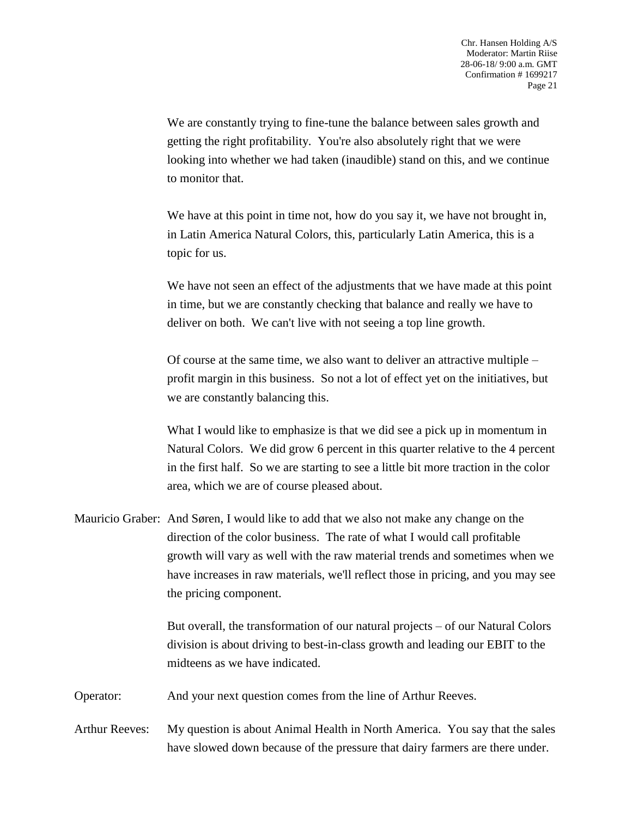We are constantly trying to fine-tune the balance between sales growth and getting the right profitability. You're also absolutely right that we were looking into whether we had taken (inaudible) stand on this, and we continue to monitor that.

We have at this point in time not, how do you say it, we have not brought in, in Latin America Natural Colors, this, particularly Latin America, this is a topic for us.

We have not seen an effect of the adjustments that we have made at this point in time, but we are constantly checking that balance and really we have to deliver on both. We can't live with not seeing a top line growth.

Of course at the same time, we also want to deliver an attractive multiple – profit margin in this business. So not a lot of effect yet on the initiatives, but we are constantly balancing this.

What I would like to emphasize is that we did see a pick up in momentum in Natural Colors. We did grow 6 percent in this quarter relative to the 4 percent in the first half. So we are starting to see a little bit more traction in the color area, which we are of course pleased about.

Mauricio Graber: And Søren, I would like to add that we also not make any change on the direction of the color business. The rate of what I would call profitable growth will vary as well with the raw material trends and sometimes when we have increases in raw materials, we'll reflect those in pricing, and you may see the pricing component.

> But overall, the transformation of our natural projects – of our Natural Colors division is about driving to best-in-class growth and leading our EBIT to the midteens as we have indicated.

Operator: And your next question comes from the line of Arthur Reeves.

Arthur Reeves: My question is about Animal Health in North America. You say that the sales have slowed down because of the pressure that dairy farmers are there under.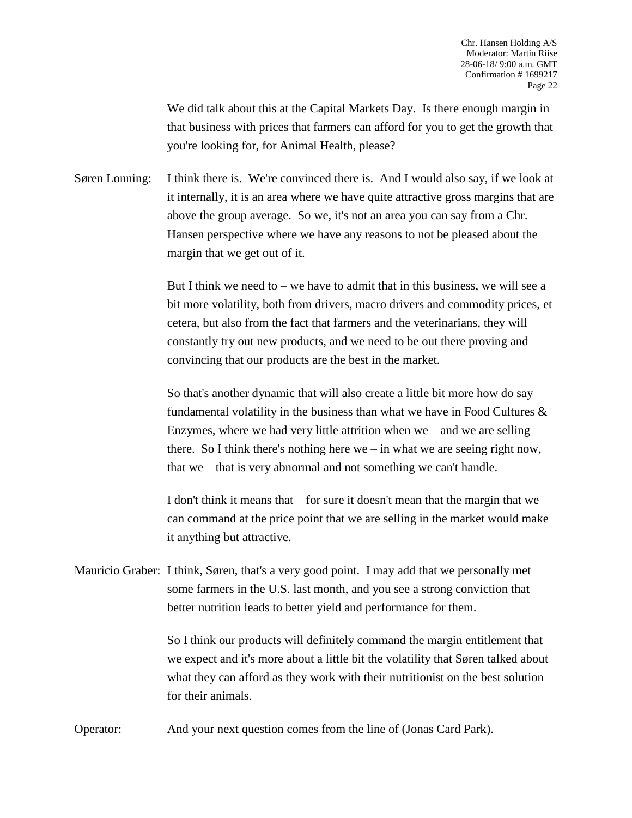We did talk about this at the Capital Markets Day. Is there enough margin in that business with prices that farmers can afford for you to get the growth that you're looking for, for Animal Health, please?

Søren Lonning: I think there is. We're convinced there is. And I would also say, if we look at it internally, it is an area where we have quite attractive gross margins that are above the group average. So we, it's not an area you can say from a Chr. Hansen perspective where we have any reasons to not be pleased about the margin that we get out of it.

> But I think we need to – we have to admit that in this business, we will see a bit more volatility, both from drivers, macro drivers and commodity prices, et cetera, but also from the fact that farmers and the veterinarians, they will constantly try out new products, and we need to be out there proving and convincing that our products are the best in the market.

So that's another dynamic that will also create a little bit more how do say fundamental volatility in the business than what we have in Food Cultures  $\&$ Enzymes, where we had very little attrition when  $we$  – and we are selling there. So I think there's nothing here we – in what we are seeing right now, that we – that is very abnormal and not something we can't handle.

I don't think it means that – for sure it doesn't mean that the margin that we can command at the price point that we are selling in the market would make it anything but attractive.

Mauricio Graber: I think, Søren, that's a very good point. I may add that we personally met some farmers in the U.S. last month, and you see a strong conviction that better nutrition leads to better yield and performance for them.

> So I think our products will definitely command the margin entitlement that we expect and it's more about a little bit the volatility that Søren talked about what they can afford as they work with their nutritionist on the best solution for their animals.

Operator: And your next question comes from the line of (Jonas Card Park).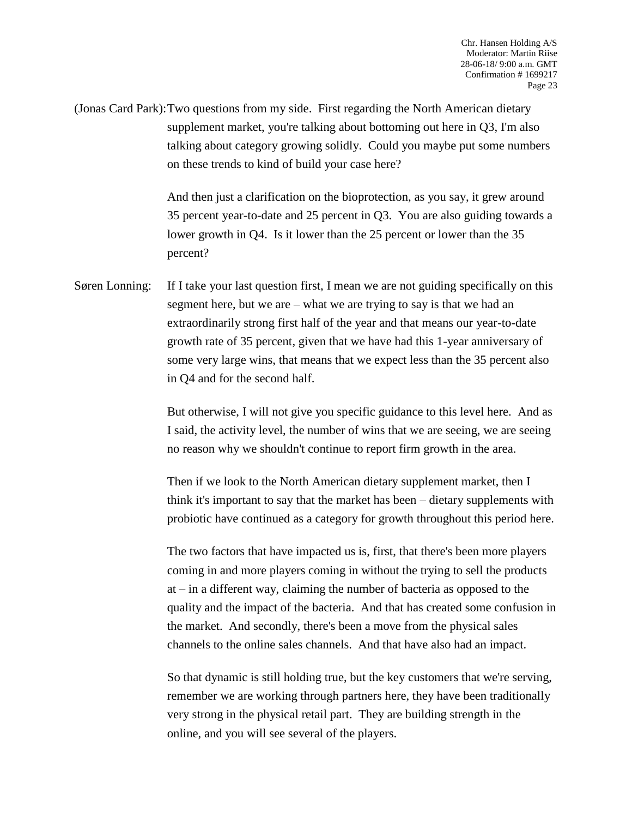(Jonas Card Park):Two questions from my side. First regarding the North American dietary supplement market, you're talking about bottoming out here in Q3, I'm also talking about category growing solidly. Could you maybe put some numbers on these trends to kind of build your case here?

> And then just a clarification on the bioprotection, as you say, it grew around 35 percent year-to-date and 25 percent in Q3. You are also guiding towards a lower growth in Q4. Is it lower than the 25 percent or lower than the 35 percent?

Søren Lonning: If I take your last question first, I mean we are not guiding specifically on this segment here, but we are – what we are trying to say is that we had an extraordinarily strong first half of the year and that means our year-to-date growth rate of 35 percent, given that we have had this 1-year anniversary of some very large wins, that means that we expect less than the 35 percent also in Q4 and for the second half.

> But otherwise, I will not give you specific guidance to this level here. And as I said, the activity level, the number of wins that we are seeing, we are seeing no reason why we shouldn't continue to report firm growth in the area.

> Then if we look to the North American dietary supplement market, then I think it's important to say that the market has been – dietary supplements with probiotic have continued as a category for growth throughout this period here.

> The two factors that have impacted us is, first, that there's been more players coming in and more players coming in without the trying to sell the products at – in a different way, claiming the number of bacteria as opposed to the quality and the impact of the bacteria. And that has created some confusion in the market. And secondly, there's been a move from the physical sales channels to the online sales channels. And that have also had an impact.

> So that dynamic is still holding true, but the key customers that we're serving, remember we are working through partners here, they have been traditionally very strong in the physical retail part. They are building strength in the online, and you will see several of the players.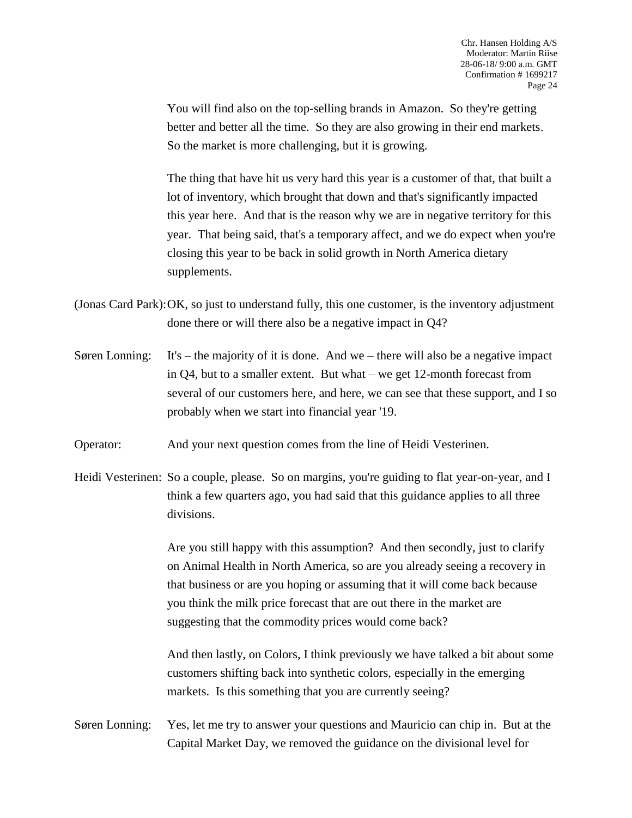You will find also on the top-selling brands in Amazon. So they're getting better and better all the time. So they are also growing in their end markets. So the market is more challenging, but it is growing.

The thing that have hit us very hard this year is a customer of that, that built a lot of inventory, which brought that down and that's significantly impacted this year here. And that is the reason why we are in negative territory for this year. That being said, that's a temporary affect, and we do expect when you're closing this year to be back in solid growth in North America dietary supplements.

- (Jonas Card Park):OK, so just to understand fully, this one customer, is the inventory adjustment done there or will there also be a negative impact in Q4?
- Søren Lonning: It's the majority of it is done. And we there will also be a negative impact in Q4, but to a smaller extent. But what – we get 12-month forecast from several of our customers here, and here, we can see that these support, and I so probably when we start into financial year '19.
- Operator: And your next question comes from the line of Heidi Vesterinen.
- Heidi Vesterinen: So a couple, please. So on margins, you're guiding to flat year-on-year, and I think a few quarters ago, you had said that this guidance applies to all three divisions.

Are you still happy with this assumption? And then secondly, just to clarify on Animal Health in North America, so are you already seeing a recovery in that business or are you hoping or assuming that it will come back because you think the milk price forecast that are out there in the market are suggesting that the commodity prices would come back?

And then lastly, on Colors, I think previously we have talked a bit about some customers shifting back into synthetic colors, especially in the emerging markets. Is this something that you are currently seeing?

Søren Lonning: Yes, let me try to answer your questions and Mauricio can chip in. But at the Capital Market Day, we removed the guidance on the divisional level for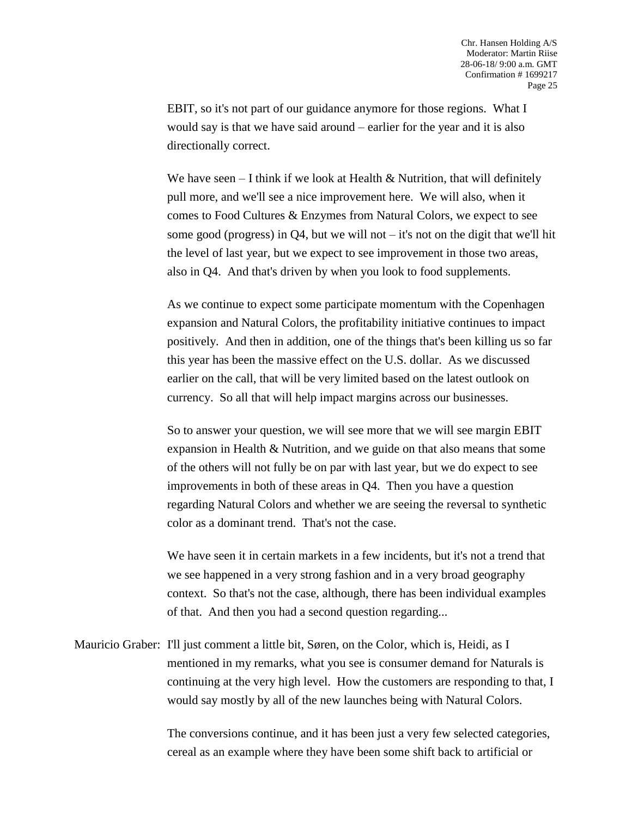EBIT, so it's not part of our guidance anymore for those regions. What I would say is that we have said around – earlier for the year and it is also directionally correct.

We have seen  $-1$  think if we look at Health & Nutrition, that will definitely pull more, and we'll see a nice improvement here. We will also, when it comes to Food Cultures & Enzymes from Natural Colors, we expect to see some good (progress) in  $Q4$ , but we will not – it's not on the digit that we'll hit the level of last year, but we expect to see improvement in those two areas, also in Q4. And that's driven by when you look to food supplements.

As we continue to expect some participate momentum with the Copenhagen expansion and Natural Colors, the profitability initiative continues to impact positively. And then in addition, one of the things that's been killing us so far this year has been the massive effect on the U.S. dollar. As we discussed earlier on the call, that will be very limited based on the latest outlook on currency. So all that will help impact margins across our businesses.

So to answer your question, we will see more that we will see margin EBIT expansion in Health & Nutrition, and we guide on that also means that some of the others will not fully be on par with last year, but we do expect to see improvements in both of these areas in Q4. Then you have a question regarding Natural Colors and whether we are seeing the reversal to synthetic color as a dominant trend. That's not the case.

We have seen it in certain markets in a few incidents, but it's not a trend that we see happened in a very strong fashion and in a very broad geography context. So that's not the case, although, there has been individual examples of that. And then you had a second question regarding...

Mauricio Graber: I'll just comment a little bit, Søren, on the Color, which is, Heidi, as I mentioned in my remarks, what you see is consumer demand for Naturals is continuing at the very high level. How the customers are responding to that, I would say mostly by all of the new launches being with Natural Colors.

> The conversions continue, and it has been just a very few selected categories, cereal as an example where they have been some shift back to artificial or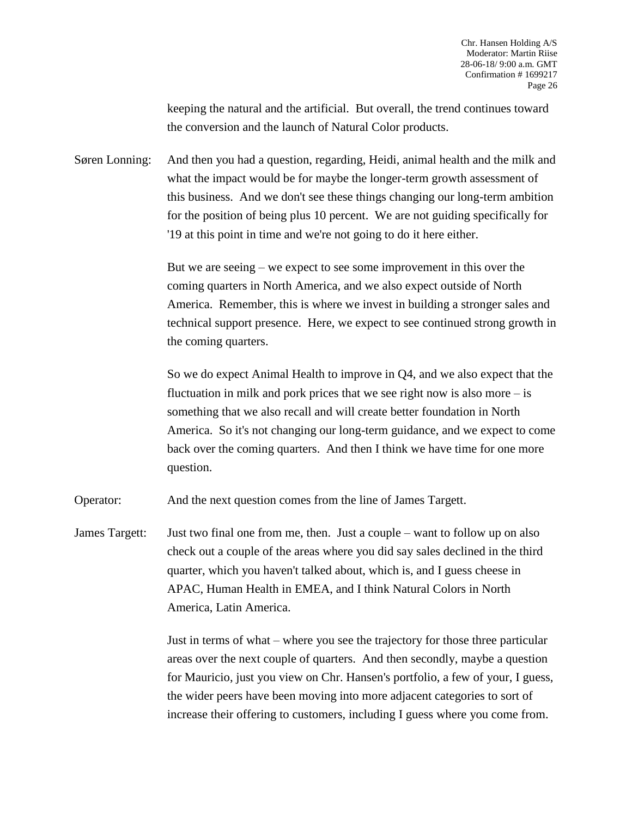keeping the natural and the artificial. But overall, the trend continues toward the conversion and the launch of Natural Color products.

Søren Lonning: And then you had a question, regarding, Heidi, animal health and the milk and what the impact would be for maybe the longer-term growth assessment of this business. And we don't see these things changing our long-term ambition for the position of being plus 10 percent. We are not guiding specifically for '19 at this point in time and we're not going to do it here either.

> But we are seeing – we expect to see some improvement in this over the coming quarters in North America, and we also expect outside of North America. Remember, this is where we invest in building a stronger sales and technical support presence. Here, we expect to see continued strong growth in the coming quarters.

> So we do expect Animal Health to improve in Q4, and we also expect that the fluctuation in milk and pork prices that we see right now is also more – is something that we also recall and will create better foundation in North America. So it's not changing our long-term guidance, and we expect to come back over the coming quarters. And then I think we have time for one more question.

Operator: And the next question comes from the line of James Targett.

James Targett: Just two final one from me, then. Just a couple – want to follow up on also check out a couple of the areas where you did say sales declined in the third quarter, which you haven't talked about, which is, and I guess cheese in APAC, Human Health in EMEA, and I think Natural Colors in North America, Latin America.

> Just in terms of what – where you see the trajectory for those three particular areas over the next couple of quarters. And then secondly, maybe a question for Mauricio, just you view on Chr. Hansen's portfolio, a few of your, I guess, the wider peers have been moving into more adjacent categories to sort of increase their offering to customers, including I guess where you come from.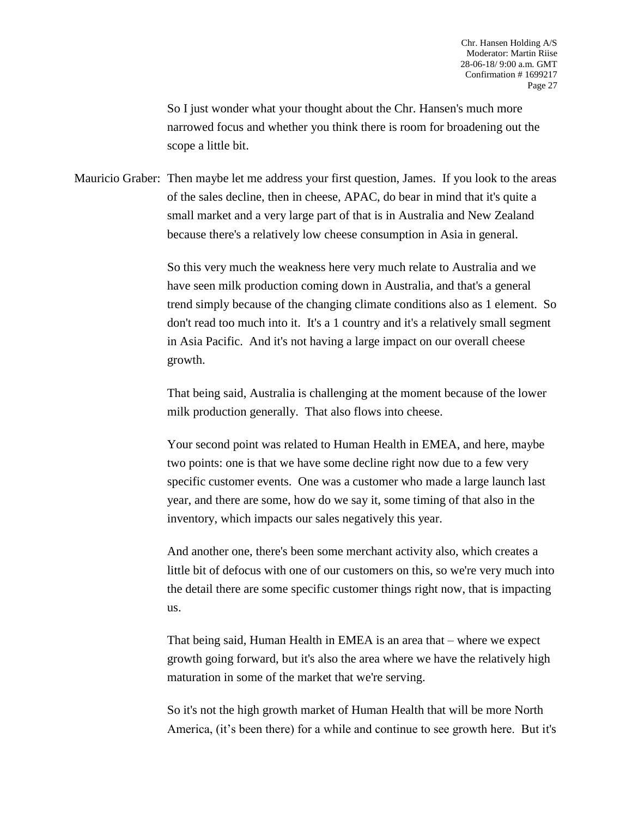So I just wonder what your thought about the Chr. Hansen's much more narrowed focus and whether you think there is room for broadening out the scope a little bit.

Mauricio Graber: Then maybe let me address your first question, James. If you look to the areas of the sales decline, then in cheese, APAC, do bear in mind that it's quite a small market and a very large part of that is in Australia and New Zealand because there's a relatively low cheese consumption in Asia in general.

> So this very much the weakness here very much relate to Australia and we have seen milk production coming down in Australia, and that's a general trend simply because of the changing climate conditions also as 1 element. So don't read too much into it. It's a 1 country and it's a relatively small segment in Asia Pacific. And it's not having a large impact on our overall cheese growth.

That being said, Australia is challenging at the moment because of the lower milk production generally. That also flows into cheese.

Your second point was related to Human Health in EMEA, and here, maybe two points: one is that we have some decline right now due to a few very specific customer events. One was a customer who made a large launch last year, and there are some, how do we say it, some timing of that also in the inventory, which impacts our sales negatively this year.

And another one, there's been some merchant activity also, which creates a little bit of defocus with one of our customers on this, so we're very much into the detail there are some specific customer things right now, that is impacting us.

That being said, Human Health in EMEA is an area that – where we expect growth going forward, but it's also the area where we have the relatively high maturation in some of the market that we're serving.

So it's not the high growth market of Human Health that will be more North America, (it's been there) for a while and continue to see growth here. But it's